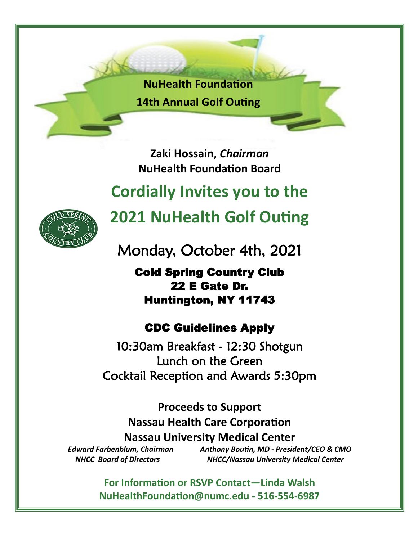**NuHealth Foundation 14th Annual Golf Outing**

**Zaki Hossain,** *Chairman* **NuHealth Foundation Board**

# **Cordially Invites you to the**



**2021 NuHealth Golf Outing**

Monday, October 4th, 2021

Cold Spring Country Club 22 E Gate Dr. Huntington, NY 11743

### CDC Guidelines Apply

10:30am Breakfast - 12:30 Shotgun Lunch on the Green Cocktail Reception and Awards 5:30pm

**Proceeds to Support Nassau Health Care Corporation Nassau University Medical Center** *Edward Farbenblum, Chairman Anthony Boutin, MD - President/CEO & CMO*

*NHCC Board of Directors NHCC/Nassau University Medical Center*

**For Information or RSVP Contact—Linda Walsh [NuHealthFoundation@numc.edu](mailto:NuHealthFoundation@numc.edu) - 516-554-6987**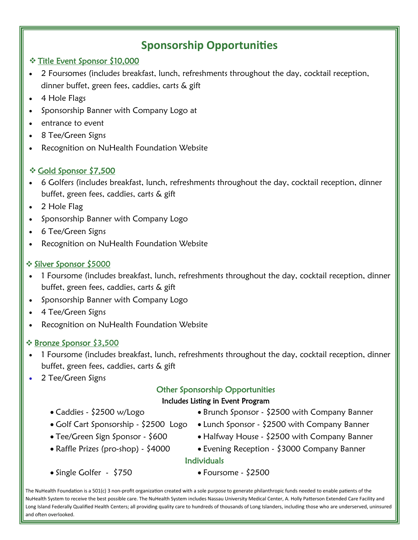# **Sponsorship Opportunities**

#### Title Event Sponsor \$10,000

- 2 Foursomes (includes breakfast, lunch, refreshments throughout the day, cocktail reception, dinner buffet, green fees, caddies, carts & gift
- 4 Hole Flags
- Sponsorship Banner with Company Logo at
- entrance to event
- 8 Tee/Green Signs
- Recognition on NuHealth Foundation Website

#### Gold Sponsor \$7,500

- 6 Golfers (includes breakfast, lunch, refreshments throughout the day, cocktail reception, dinner buffet, green fees, caddies, carts & gift
- 2 Hole Flag
- Sponsorship Banner with Company Logo
- 6 Tee/Green Signs
- Recognition on NuHealth Foundation Website

#### $\div$  **Silver Sponsor \$5000**

- 1 Foursome (includes breakfast, lunch, refreshments throughout the day, cocktail reception, dinner buffet, green fees, caddies, carts & gift
- Sponsorship Banner with Company Logo
- 4 Tee/Green Signs
- Recognition on NuHealth Foundation Website

#### $\div$  Bronze Sponsor \$3,500

- 1 Foursome (includes breakfast, lunch, refreshments throughout the day, cocktail reception, dinner buffet, green fees, caddies, carts & gift
- 2 Tee/Green Signs

#### Other Sponsorship Opportunities

#### Includes Listing in Event Program

- 
- 
- 
- 
- Caddies \$2500 w/Logo Brunch Sponsor \$2500 with Company Banner
- Golf Cart Sponsorship \$2500 Logo Lunch Sponsor \$2500 with Company Banner
- Tee/Green Sign Sponsor \$600 Halfway House \$2500 with Company Banner
- Raffle Prizes (pro-shop) \$4000 Evening Reception \$3000 Company Banner
	- Individuals
- $\bullet$  Single Golfer \$750  $\bullet$  Foursome \$2500
	-

The NuHealth Foundation is a 501(c) 3 non-profit organization created with a sole purpose to generate philanthropic funds needed to enable patients of the NuHealth System to receive the best possible care. The NuHealth System includes Nassau University Medical Center, A. Holly Patterson Extended Care Facility and Long Island Federally Qualified Health Centers; all providing quality care to hundreds of thousands of Long Islanders, including those who are underserved, uninsured and often overlooked.